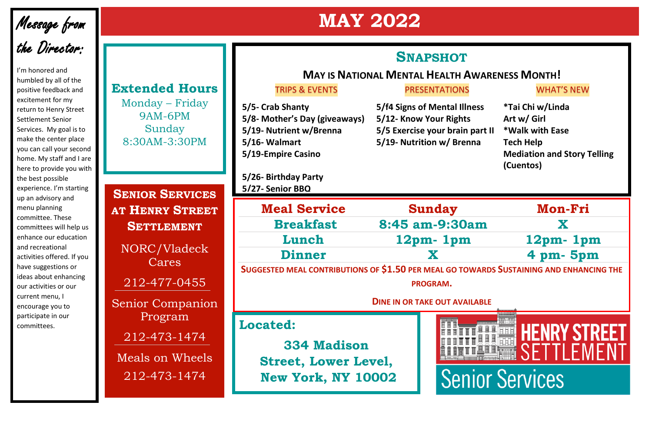## **MAY 2022**

# Message from<br>the Director:

I'm honored and humbled by all of the positive feedback and excitement for my return to Henry Street Settlement Senior Services. My goal is to make the center place you can call your second home. My staff and I are here to provide you with the best possible experience. I'm starting up an advisory and menu planning committee. These committees will help us enhance our education and recreational activities offered. If you have suggestions or ideas about enhancing our activities or our current menu, I encourage you to participate in our committees.

**SENIOR SERVICES AT HENRY STREET SETTLEMENT** NORC/Vladeck Cares 212-477-0455 Senior Companion

#### **Extended Hours**

- **5/5-** Crab Shanty **5/f4** Signs of Mental Illnes **5/8-** Mother's Day (giveaways) 5/12- Know Your Rights **5/19-** Nutrient w/Brenna **5/5** Exercise your brain part in **5/16-** Walmart **5/19-** Nutrition w/ Brenna **5/19-Empire Casino**
- **5/26- Birthday Party 5/27- Senior BBQ**

Monday – Friday 9AM-6PM Sunday 8:30AM-3:30PM

Program

212-473-1474

Meals on Wheels 212-473-1474

**SNAPSHOT**

#### TRIPS & EVENTS FRESENTATIONS TRIPS & EVENTS

#### **MAY IS NATIONAL MENTAL HEALTH AWARENESS MONTH!**

| $\overline{\mathbf{S}}$ | <i><b>*Tai Chi w/Linda</b></i>     |
|-------------------------|------------------------------------|
|                         | Art w/ Girl                        |
| rt II                   | *Walk with Ease                    |
|                         | <b>Tech Help</b>                   |
|                         | <b>Mediation and Story Telling</b> |
|                         | (Cuentos)                          |

#### **Located:**

**334 Madison Street, Lower Level, New York, NY 10002**



| <b>Meal Service</b> | <b>Sunday</b>                                                    | Mon-             |  |
|---------------------|------------------------------------------------------------------|------------------|--|
| <b>Breakfast</b>    | 8:45 am-9:30am                                                   | X                |  |
| Lunch               | $12pm$ - 1pm                                                     | 12 <sub>pm</sub> |  |
| Dinner              |                                                                  | $4 \text{ pm}$   |  |
|                     | $\mathbf{1}$ $\mathbf{1}$ $\mathbf{1}$ $\mathbf{1}$ $\mathbf{1}$ |                  |  |



**SUGGESTED MEAL CONTRIBUTIONS OF \$1.50 PER MEAL GO TOWARDS SUSTAINING AND ENHANCING THE** 

**PROGRAM.**

#### **DINE IN OR TAKE OUT AVAILABLE**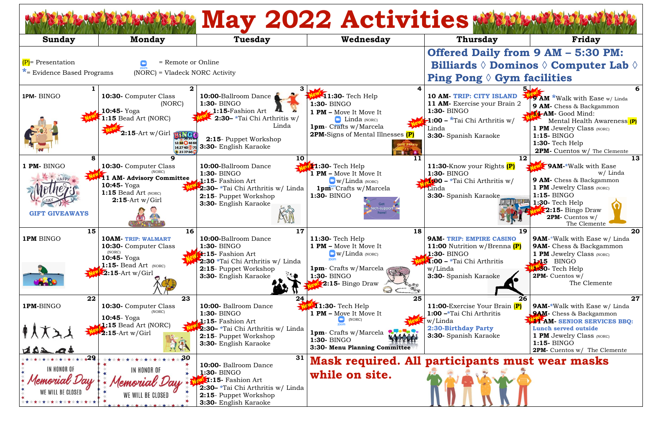| <b>May 2022 Activities</b>                                |                                                                                                                                    |                                                                                                                                                                        |                                                                                                                                                                        |                                                                                                                                                      |                                                                                                                                                                                                                                 |  |  |  |
|-----------------------------------------------------------|------------------------------------------------------------------------------------------------------------------------------------|------------------------------------------------------------------------------------------------------------------------------------------------------------------------|------------------------------------------------------------------------------------------------------------------------------------------------------------------------|------------------------------------------------------------------------------------------------------------------------------------------------------|---------------------------------------------------------------------------------------------------------------------------------------------------------------------------------------------------------------------------------|--|--|--|
| Sunday                                                    | <b>Monday</b>                                                                                                                      | <b>Tuesday</b>                                                                                                                                                         | Wednesday                                                                                                                                                              | <b>Thursday</b>                                                                                                                                      | <b>Friday</b>                                                                                                                                                                                                                   |  |  |  |
|                                                           |                                                                                                                                    |                                                                                                                                                                        |                                                                                                                                                                        | <b>Offered Daily from 9 AM - 5:30 PM:</b>                                                                                                            |                                                                                                                                                                                                                                 |  |  |  |
| $(P)$ = Presentation                                      | = Remote or Online                                                                                                                 |                                                                                                                                                                        |                                                                                                                                                                        |                                                                                                                                                      | <b>Billiards <math>\Diamond</math> Dominos <math>\Diamond</math> Computer Lab <math>\Diamond</math></b>                                                                                                                         |  |  |  |
| $*$ Evidence Based Programs                               | (NORC) = Vladeck NORC Activity                                                                                                     | <b>Ping Pong <math>\Diamond</math> Gym facilities</b>                                                                                                                  |                                                                                                                                                                        |                                                                                                                                                      |                                                                                                                                                                                                                                 |  |  |  |
| 1PM-BINGO                                                 | 10:30- Computer Class<br>(NORC)<br>10:45- Yoga                                                                                     | 10:00-Ballroom Dance<br>1:30- BINGO<br>$\sqrt{1:15}$ -Fashion Art                                                                                                      | <b>11:30</b> - Tech Help<br>1:30- BINGO<br>1 PM - Move It Move It                                                                                                      | 10 AM-TRIP: CITY ISLAND<br>11 AM- Exercise your Brain 2<br>1:30- BINGO                                                                               | <b>B AM *Walk with Ease w/ Linda</b><br>9 AM- Chess & Backgammon<br><b>T-AM-</b> Good Mind:                                                                                                                                     |  |  |  |
|                                                           | 1:15 Bead Art (NORC)<br>2:15-Art w/Girl BinG<br>12 18 48 6<br>14 27 40 5 7<br>9 23 37 60                                           | 2:30- *Tai Chi Arthritis w/<br>Linda<br>2:15- Puppet Workshop<br>3:30- English Karaoke                                                                                 | $\Box$ Linda (NORC)<br><b>1pm</b> - Crafts w/Marcela<br><b>2PM-</b> Signs of Mental Illnesses (P)                                                                      | <b>1:00 - *</b> Tai Chi Arthritis w/<br>Linda<br>3:30- Spanish Karaoke                                                                               | Mental Health Awareness (P)<br><b>1 PM</b> Jewelry Class (NORC)<br>1:15- BINGO<br><b>1:30-</b> Tech Help<br>2PM- Cuentos w/ The Clemente                                                                                        |  |  |  |
| 1 PM- BINGO<br><b>GIFT GIVEAWAYS</b>                      | 9<br>10:30- Computer Class<br><b>11 AM- Advisory Committee</b><br>10:45- Yoga<br>1:15 Bead Art (NORC)<br>$2:15$ -Art w/Girl        | 10<br>10:00-Ballroom Dance<br>1:30- BINGO<br>$\blacktriangle$ :15- Fashion Art<br>2:30 - *Tai Chi Arthritis w/ Linda<br>2:15- Puppet Workshop<br>3:30- English Karaoke | $\blacksquare$ 1:30- Tech Help<br><b>1 PM</b> – Move It Move It<br>$\Box$ w/Linda (NORC)<br>$1pm$ <sup>com</sup> Crafts w/Marcela<br>1:30- BINGO<br>ch-support,        | 12<br>11:30-Know your Rights (P)<br>1:30- BINGO<br>$\sqrt{100}$ – *Tai Chi Arthritis w/<br><b>Linda</b><br>3:30- Spanish Karaoke                     | 13<br><b>9AM-*Walk with Ease</b><br>w/ Linda<br>9 AM- Chess & Backgammon<br><b>1 PM</b> Jewelry Class (NORC)<br>$1:15 - BINGO$<br>1:30- Tech Help<br><b>2:15- Bingo Draw</b><br>2PM- Cuentos w/                                 |  |  |  |
| 15<br>1PM BINGO                                           | 16<br><b>10AM- TRIP: WALMART</b><br>10:30- Computer Class<br>(NORC)<br>10:45-Yoga<br>1:15- Bead Art $(NORC)$<br>$2:15$ -Art w/Girl | 17<br>10:00-Ballroom Dance<br>1:30- BINGO<br>1:15- Fashion Art<br>2:30 *Tai Chi Arthritis w/ Linda<br>2:15- Puppet Workshop<br>3:30- English Karaoke                   | 18<br>11:30- Tech Help<br>1 PM - Move It Move It<br>$\Box$ w/Linda (NORC)<br><b>1pm</b> - Crafts w/Marcela<br>1:30- BINGO<br>$\epsilon$ 2:15- Bingo Draw<br>$\bigcirc$ | 19<br><b>9AM-TRIP: EMPIRE CASINO</b><br>11:00 Nutrition w/Brenna (P)<br>1:30- BINGO<br>1:00 - *Tai Chi Arthritis<br>w/Linda<br>3:30- Spanish Karaoke | The Clemente<br>20<br><b>9AM-*Walk with Ease w/ Linda</b><br>9AM- Chess & Backgammon<br><b>1 PM</b> Jewelry Class (NORC)<br><b>1.15</b> BINGO<br><b>W.30-</b> Tech Help<br>2PM- Cuentos w/<br>The Clemente                      |  |  |  |
| 22<br>1PM-BINGO<br>402.04                                 | 23<br>10:30- Computer Class<br>10:45 - Yoga<br>1:15 Bead Art (NORC)<br>$2:15$ -Art w/Girl                                          | 10:00- Ballroom Dance<br>1:30- BINGO<br>$\lambda$ :15- Fashion Art<br>2:30- *Tai Chi Arthritis w/ Linda<br>2:15- Puppet Workshop<br>3:30- English Karaoke              | 25<br><b>11:30-</b> Tech Help<br>1 PM - Move It Move It<br>(NORC)<br><b>1pm</b> - Crafts w/Marcela<br>1:30- BINGO<br>3:30- Menu Planning Committee                     | 11:00-Exercise Your Brain (P)<br>1:00 -*Tai Chi Arthritis<br>w/Linda<br>2:30-Birthday Party<br>3:30- Spanish Karaoke                                 | 27<br><b>9AM-*</b> Walk with Ease w/ Linda<br><b>9AM</b> - Chess & Backgammon<br><b>WAM- SENIOR SERVICES BBQ:</b><br>Lunch served outside<br><b>1 PM</b> Jewelry Class (NORC)<br>$1:15 - BINGO$<br>2PM- Cuentos w/ The Clemente |  |  |  |
| $+29$<br>IN HONOR OF<br>Memorial Day<br>WE WILL BE CLOSED | 30<br>IN HONOR OF<br>WE WILL BE CLOSED                                                                                             | 31<br>10:00- Ballroom Dance<br><b>1:30- BINGO</b><br>1:15- Fashion Art<br>2:30- *Tai Chi Arthritis w/ Linda<br>2:15- Puppet Workshop<br>3:30- English Karaoke          | <b>Mask required. All participants must wear masks</b><br>while on site.                                                                                               |                                                                                                                                                      |                                                                                                                                                                                                                                 |  |  |  |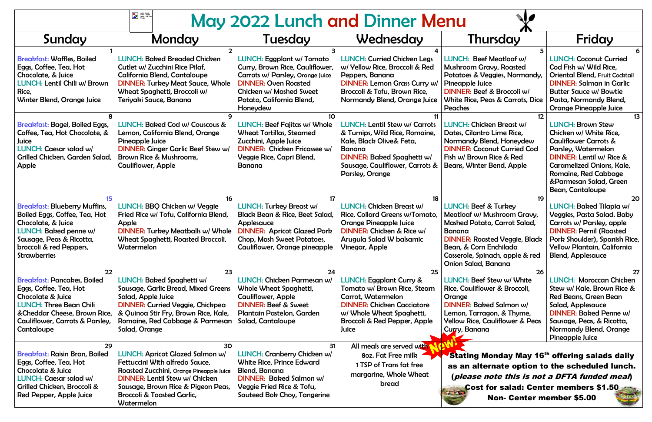| eating utensis :<br>Vector   Clipart<br>Panda - Free Clipa<br>Images<br>May 2022 Lunch and Dinner Menu                                                                                                      |                                                                                                                                                                                                                                                           |                                                                                                                                                                                                            |                                                                                                                                                                                                      |                                                                                                                                                                                                                                                   |                                                                                                                                                                                                                                                                  |  |
|-------------------------------------------------------------------------------------------------------------------------------------------------------------------------------------------------------------|-----------------------------------------------------------------------------------------------------------------------------------------------------------------------------------------------------------------------------------------------------------|------------------------------------------------------------------------------------------------------------------------------------------------------------------------------------------------------------|------------------------------------------------------------------------------------------------------------------------------------------------------------------------------------------------------|---------------------------------------------------------------------------------------------------------------------------------------------------------------------------------------------------------------------------------------------------|------------------------------------------------------------------------------------------------------------------------------------------------------------------------------------------------------------------------------------------------------------------|--|
| Sunday                                                                                                                                                                                                      | Monday                                                                                                                                                                                                                                                    | Tuesday                                                                                                                                                                                                    | Wednesday                                                                                                                                                                                            | Thursday                                                                                                                                                                                                                                          | Friday                                                                                                                                                                                                                                                           |  |
| <b>Breakfast: Waffles, Boiled</b><br>Eggs, Coffee, Tea, Hot<br>Chocolate, & Juice<br>LUNCH: Lentil Chili w/ Brown<br>Rice,<br><b>Winter Blend, Orange Juice</b>                                             | <b>LUNCH: Baked Breaded Chicken</b><br>Cutlet w/ Zucchini Rice Pilaf,<br>California Blend, Cantaloupe<br><b>DINNER: Turkey Meat Sauce, Whole</b><br>Wheat Spaghetti, Broccoli w/<br>Teriyaki Sauce, Banana                                                | <b>LUNCH: Eggplant w/ Tomato</b><br>Curry, Brown Rice, Cauliflower,<br>Carrots w/ Parsley, Orange Juice<br><b>DINNER: Oven Roasted</b><br>Chicken w/ Mashed Sweet<br>Potato, California Blend,<br>Honeydew | <b>LUNCH: Curried Chicken Legs</b><br>w/ Yellow Rice, Broccoli & Red<br>Peppers, Banana<br><b>DINNER: Lemon Grass Curry w/</b><br>Broccoli & Tofu, Brown Rice,<br>Normandy Blend, Orange Juice       | LUNCH: Beef Meatloaf w/<br><b>Mushroom Gravy, Roasted</b><br>Potatoes & Veggies, Normandy,<br>Pineapple Juice<br>DINNER: Beef & Broccoli w/<br>White Rice, Peas & Carrots, Dice<br>Peaches                                                        | <b>LUNCH: Coconut Curried</b><br>Cod Fish w/ Wild Rice,<br><b>Oriental Blend, Fruit Cocktail</b><br><b>DINNER: Salman in Garlic</b><br><b>Butter Sauce w/ Bowtie</b><br>Pasta, Normandy Blend,<br><b>Orange Pineapple Juice</b>                                  |  |
| <b>Breakfast: Bagel, Boiled Eggs,</b><br>Coffee, Tea, Hot Chocolate, &<br>Juice<br>LUNCH: Caesar salad w/<br>Grilled Chicken, Garden Salad,<br>Apple                                                        | LUNCH: Baked Cod w/ Couscous &<br>Lemon, California Blend, Orange<br>Pineapple Juice<br><b>DINNER: Ginger Garlic Beef Stew w/</b><br>Brown Rice & Mushrooms,<br><b>Cauliflower, Apple</b>                                                                 | <b>LUNCH: Beef Fajitas w/ Whole</b><br><b>Wheat Tortillas, Steamed</b><br>Zucchini, Apple Juice<br><b>DINNER: Chicken Fricassee w/</b><br>Veggie Rice, Capri Blend,<br>Banana                              | LUNCH: Lentil Stew w/ Carrots<br>& Turnips, Wild Rice, Romaine,<br>Kale, Black Olive& Feta,<br>Banana<br><b>DINNER: Baked Spaghetti w/</b><br>Sausage, Cauliflower, Carrots &<br>Parsley, Orange     | <b>LUNCH: Chicken Breast w/</b><br>Dates, Cilantro Lime Rice,<br>Normandy Blend, Honeydew<br><b>DINNER: Coconut Curried Cod</b><br>Fish w/ Brown Rice & Red<br>Beans, Winter Bend, Apple                                                          | 13<br><b>LUNCH: Brown Stew</b><br>Chicken w/ White Rice,<br><b>Cauliflower Carrots &amp;</b><br>Parsley, Watermelon<br>DINNER: Lentil w/ Rice &<br><b>Caramelized Onions, Kale,</b><br>Romaine, Red Cabbage<br>&Parmesan Salad, Green<br><b>Bean, Cantaloupe</b> |  |
| <b>Breakfast: Blueberry Muffins,</b><br>Boiled Eggs, Coffee, Tea, Hot<br>Chocolate, & Juice<br>LUNCH: Baked penne w/<br>Sausage, Peas & Ricotta,<br>broccoli & red Peppers,<br><b>Strawberries</b>          | LUNCH: BBQ Chicken w/ Veggie<br>Fried Rice w/ Tofu, California Blend,<br>Apple<br><b>DINNER: Turkey Meatballs w/ Whole</b><br><b>Wheat Spaghetti, Roasted Broccoli,</b><br>Watermelon                                                                     | <b>LUNCH: Turkey Breast w/</b><br><b>Black Bean &amp; Rice, Beet Salad,</b><br>Applesauce<br><b>DINNER: Apricot Glazed Pork</b><br><b>Chop, Mash Sweet Potatoes,</b><br>Cauliflower, Orange pineapple      | 18<br>LUNCH: Chicken Breast w/<br>Rice, Collard Greens w/Tomato,<br><b>Orange Pineapple Juice</b><br>DINNER: Chicken & Rice w/<br>Arugula Salad W balsamic<br><b>Vinegar, Apple</b>                  | 19<br><b>LUNCH: Beef &amp; Turkey</b><br>Meatloaf w/ Mushroom Gravy,<br><b>Mashed Potato, Carrot Salad,</b><br>Banana<br><b>DINNER: Roasted Veggie, Black</b><br>Bean, & Corn Enchilada<br>Casserole, Spinach, apple & red<br>Onion Salad, Banana | 20<br><b>LUNCH: Baked Tilapia w/</b><br><b>Veggies, Pasta Salad. Baby</b><br>Carrots w/ Parsley, apple<br><b>DINNER: Pernil (Roasted</b><br>Pork Shoulder), Spanish Rice,<br><b>Yellow Plantain, California</b><br><b>Blend, Applesauce</b>                      |  |
| 22<br><b>Breakfast: Pancakes, Boiled</b><br>Eggs, Coffee, Tea, Hot<br>Chocolate & Juice<br><b>LUNCH: Three Bean Chili</b><br>& Cheddar Cheese, Brown Rice,<br>Cauliflower, Carrots & Parsley,<br>Cantaloupe | 23<br>LUNCH: Baked Spaghetti w/<br>Sausage, Garlic Bread, Mixed Greens<br>Salad, Apple Juice<br><b>DINNER: Curried Veggie, Chickpea</b><br>& Quinoa Stir Fry, Brown Rice, Kale,<br>Romaine, Red Cabbage & Parmesan<br>Salad, Orange                       | 24<br>LUNCH: Chicken Parmesan w/<br>Whole Wheat Spaghetti,<br><b>Cauliflower, Apple</b><br><b>DINNER: Beef &amp; Sweet</b><br>Plantain Pastelon, Garden<br>Salad, Cantaloupe                               | 25<br>LUNCH: Eggplant Curry &<br>Tomato w/ Brown Rice, Steam<br><b>Carrot, Watermelon</b><br><b>DINNER: Chicken Cacciatore</b><br>w/ Whole Wheat Spaghetti,<br>Broccoli & Red Pepper, Apple<br>Juice | 26<br>LUNCH: Beef Stew w/ White<br>Rice, Cauliflower & Broccoli,<br>Orange<br><b>DINNER: Baked Salmon w/</b><br>Lemon, Tarragon, & Thyme,<br><b>Yellow Rice, Cauliflower &amp; Peas</b><br>Curry, Banana                                          | 27<br><b>LUNCH: Moroccan Chicken</b><br>Stew w/ Kale, Brown Rice &<br>Red Beans, Green Bean<br>Salad, Applesauce<br><b>DINNER: Baked Penne w/</b><br>Sausage, Peas, & Ricotta,<br><b>Normandy Blend, Orange</b><br><b>Pineapple Juice</b>                        |  |
| 29<br><b>Breakfast: Raisin Bran, Boiled</b><br>Eggs, Coffee, Tea, Hot<br>Chocolate & Juice<br>LUNCH: Caesar salad w/<br>Grilled Chicken, Broccoli &<br>Red Pepper, Apple Juice                              | 30<br><b>LUNCH: Apricot Glazed Salmon w/</b><br>Fettuccini With alfredo Sauce,<br>Roasted Zucchini, Orange Pineapple Juice<br>DINNER: Lentil Stew w/ Chicken<br>Sausage, Brown Rice & Pigeon Peas,<br><b>Broccoli &amp; Toasted Garlic,</b><br>Watermelon | 31<br><b>LUNCH: Cranberry Chicken w/</b><br><b>White Rice, Prince Edward</b><br><b>Blend, Banana</b><br><b>DINNER: Baked Salmon w/</b><br>Veggie Fried Rice & Tofu,<br><b>Sauteed Bok Choy, Tangerine</b>  | All meals are served with<br>80z. Fat Free milk<br>1 TSP of Trans fat free<br>margarine, Whole Wheat<br>bread                                                                                        | Stating Monday May 16 <sup>th</sup> offering salads daily<br>as an alternate option to the scheduled lunch.<br>(please note this is not a DFTA funded meal)<br><b>Cost for salad: Center members \$1.50</b><br><b>Non- Center member \$5.00</b>   |                                                                                                                                                                                                                                                                  |  |